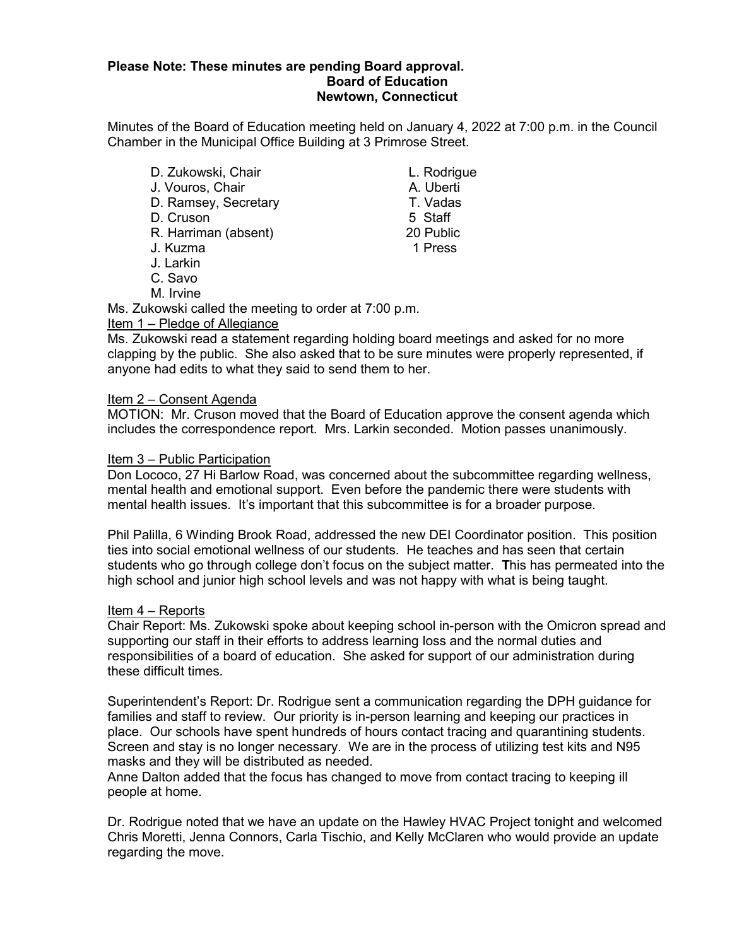### **Please Note: These minutes are pending Board approval. Board of Education Newtown, Connecticut**

Minutes of the Board of Education meeting held on January 4, 2022 at 7:00 p.m. in the Council Chamber in the Municipal Office Building at 3 Primrose Street.

D. Zukowski, Chair Chair L. Rodrigue J. Vouros, Chair **A. Uberti** D. Ramsey, Secretary **T. Vadas**<br>D. Cruson 5 Staff D. Cruson 5 Staff R. Harriman (absent) J. Kuzma 1 Press J. Larkin C. Savo

M. Irvine

Ms. Zukowski called the meeting to order at 7:00 p.m. Item 1 – Pledge of Allegiance

Ms. Zukowski read a statement regarding holding board meetings and asked for no more clapping by the public. She also asked that to be sure minutes were properly represented, if anyone had edits to what they said to send them to her.

### Item 2 – Consent Agenda

MOTION: Mr. Cruson moved that the Board of Education approve the consent agenda which includes the correspondence report. Mrs. Larkin seconded. Motion passes unanimously.

### Item 3 – Public Participation

Don Lococo, 27 Hi Barlow Road, was concerned about the subcommittee regarding wellness, mental health and emotional support. Even before the pandemic there were students with mental health issues. It's important that this subcommittee is for a broader purpose.

Phil Palilla, 6 Winding Brook Road, addressed the new DEI Coordinator position. This position ties into social emotional wellness of our students. He teaches and has seen that certain students who go through college don't focus on the subject matter. **T**his has permeated into the high school and junior high school levels and was not happy with what is being taught.

### Item 4 – Reports

Chair Report: Ms. Zukowski spoke about keeping school in-person with the Omicron spread and supporting our staff in their efforts to address learning loss and the normal duties and responsibilities of a board of education. She asked for support of our administration during these difficult times.

Superintendent's Report: Dr. Rodrigue sent a communication regarding the DPH guidance for families and staff to review. Our priority is in-person learning and keeping our practices in place. Our schools have spent hundreds of hours contact tracing and quarantining students. Screen and stay is no longer necessary. We are in the process of utilizing test kits and N95 masks and they will be distributed as needed.

Anne Dalton added that the focus has changed to move from contact tracing to keeping ill people at home.

Dr. Rodrigue noted that we have an update on the Hawley HVAC Project tonight and welcomed Chris Moretti, Jenna Connors, Carla Tischio, and Kelly McClaren who would provide an update regarding the move.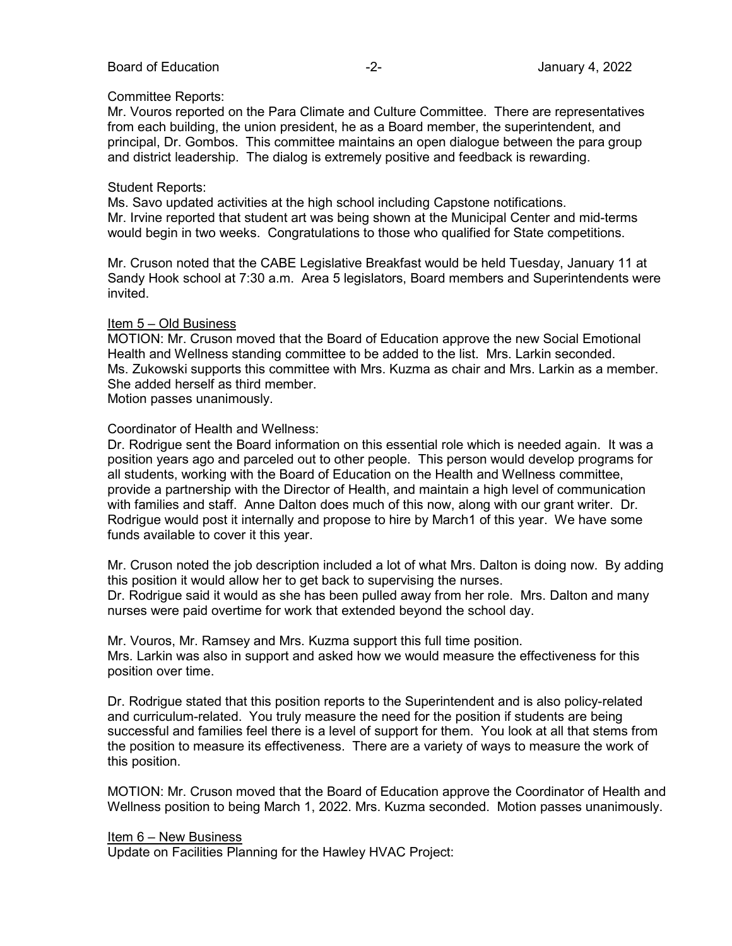### Board of Education **-2-** All the second of Education of Education and the second of Education of the second of  $\overline{a}$

### Committee Reports:

Mr. Vouros reported on the Para Climate and Culture Committee. There are representatives from each building, the union president, he as a Board member, the superintendent, and principal, Dr. Gombos. This committee maintains an open dialogue between the para group and district leadership. The dialog is extremely positive and feedback is rewarding.

### Student Reports:

Ms. Savo updated activities at the high school including Capstone notifications. Mr. Irvine reported that student art was being shown at the Municipal Center and mid-terms would begin in two weeks. Congratulations to those who qualified for State competitions.

Mr. Cruson noted that the CABE Legislative Breakfast would be held Tuesday, January 11 at Sandy Hook school at 7:30 a.m. Area 5 legislators, Board members and Superintendents were invited.

### Item 5 – Old Business

MOTION: Mr. Cruson moved that the Board of Education approve the new Social Emotional Health and Wellness standing committee to be added to the list. Mrs. Larkin seconded. Ms. Zukowski supports this committee with Mrs. Kuzma as chair and Mrs. Larkin as a member. She added herself as third member.

Motion passes unanimously.

### Coordinator of Health and Wellness:

Dr. Rodrigue sent the Board information on this essential role which is needed again. It was a position years ago and parceled out to other people. This person would develop programs for all students, working with the Board of Education on the Health and Wellness committee, provide a partnership with the Director of Health, and maintain a high level of communication with families and staff. Anne Dalton does much of this now, along with our grant writer. Dr. Rodrigue would post it internally and propose to hire by March1 of this year. We have some funds available to cover it this year.

Mr. Cruson noted the job description included a lot of what Mrs. Dalton is doing now. By adding this position it would allow her to get back to supervising the nurses. Dr. Rodrigue said it would as she has been pulled away from her role. Mrs. Dalton and many

nurses were paid overtime for work that extended beyond the school day.

Mr. Vouros, Mr. Ramsey and Mrs. Kuzma support this full time position. Mrs. Larkin was also in support and asked how we would measure the effectiveness for this position over time.

Dr. Rodrigue stated that this position reports to the Superintendent and is also policy-related and curriculum-related. You truly measure the need for the position if students are being successful and families feel there is a level of support for them. You look at all that stems from the position to measure its effectiveness. There are a variety of ways to measure the work of this position.

MOTION: Mr. Cruson moved that the Board of Education approve the Coordinator of Health and Wellness position to being March 1, 2022. Mrs. Kuzma seconded. Motion passes unanimously.

### Item 6 – New Business

Update on Facilities Planning for the Hawley HVAC Project: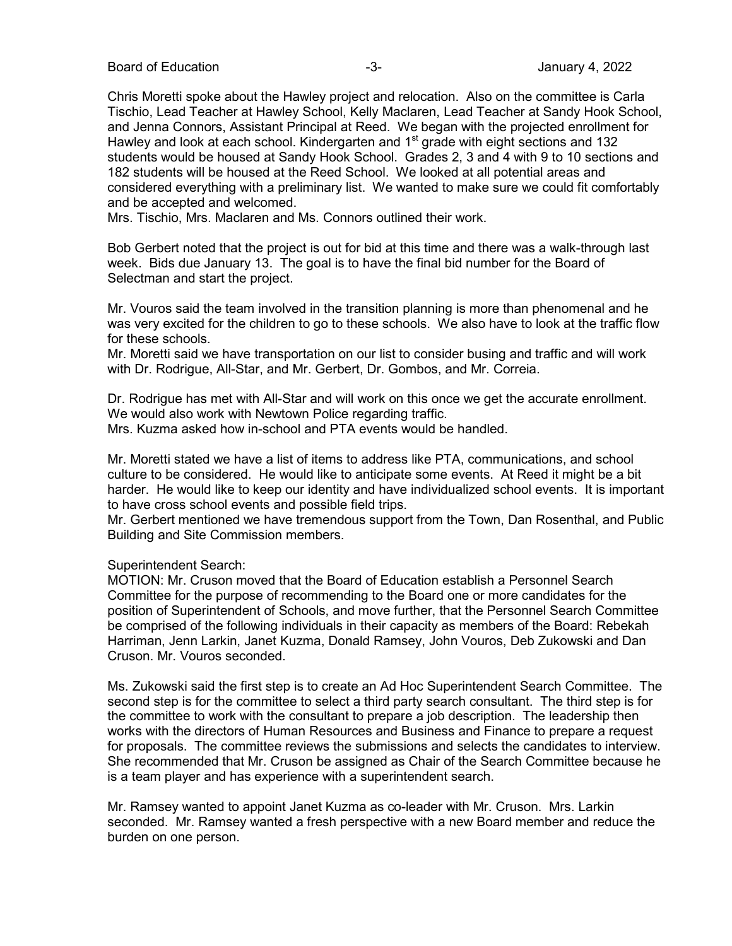Board of Education  $-3$ -  $-3$ -  $-3$ - January 4, 2022

Chris Moretti spoke about the Hawley project and relocation. Also on the committee is Carla Tischio, Lead Teacher at Hawley School, Kelly Maclaren, Lead Teacher at Sandy Hook School, and Jenna Connors, Assistant Principal at Reed. We began with the projected enrollment for Hawley and look at each school. Kindergarten and  $1<sup>st</sup>$  grade with eight sections and 132 students would be housed at Sandy Hook School. Grades 2, 3 and 4 with 9 to 10 sections and 182 students will be housed at the Reed School. We looked at all potential areas and considered everything with a preliminary list. We wanted to make sure we could fit comfortably and be accepted and welcomed.

Mrs. Tischio, Mrs. Maclaren and Ms. Connors outlined their work.

Bob Gerbert noted that the project is out for bid at this time and there was a walk-through last week. Bids due January 13. The goal is to have the final bid number for the Board of Selectman and start the project.

Mr. Vouros said the team involved in the transition planning is more than phenomenal and he was very excited for the children to go to these schools. We also have to look at the traffic flow for these schools.

Mr. Moretti said we have transportation on our list to consider busing and traffic and will work with Dr. Rodrigue, All-Star, and Mr. Gerbert, Dr. Gombos, and Mr. Correia.

Dr. Rodrigue has met with All-Star and will work on this once we get the accurate enrollment. We would also work with Newtown Police regarding traffic.

Mrs. Kuzma asked how in-school and PTA events would be handled.

Mr. Moretti stated we have a list of items to address like PTA, communications, and school culture to be considered. He would like to anticipate some events. At Reed it might be a bit harder. He would like to keep our identity and have individualized school events. It is important to have cross school events and possible field trips.

Mr. Gerbert mentioned we have tremendous support from the Town, Dan Rosenthal, and Public Building and Site Commission members.

### Superintendent Search:

MOTION: Mr. Cruson moved that the Board of Education establish a Personnel Search Committee for the purpose of recommending to the Board one or more candidates for the position of Superintendent of Schools, and move further, that the Personnel Search Committee be comprised of the following individuals in their capacity as members of the Board: Rebekah Harriman, Jenn Larkin, Janet Kuzma, Donald Ramsey, John Vouros, Deb Zukowski and Dan Cruson. Mr. Vouros seconded.

Ms. Zukowski said the first step is to create an Ad Hoc Superintendent Search Committee. The second step is for the committee to select a third party search consultant. The third step is for the committee to work with the consultant to prepare a job description. The leadership then works with the directors of Human Resources and Business and Finance to prepare a request for proposals. The committee reviews the submissions and selects the candidates to interview. She recommended that Mr. Cruson be assigned as Chair of the Search Committee because he is a team player and has experience with a superintendent search.

Mr. Ramsey wanted to appoint Janet Kuzma as co-leader with Mr. Cruson. Mrs. Larkin seconded. Mr. Ramsey wanted a fresh perspective with a new Board member and reduce the burden on one person.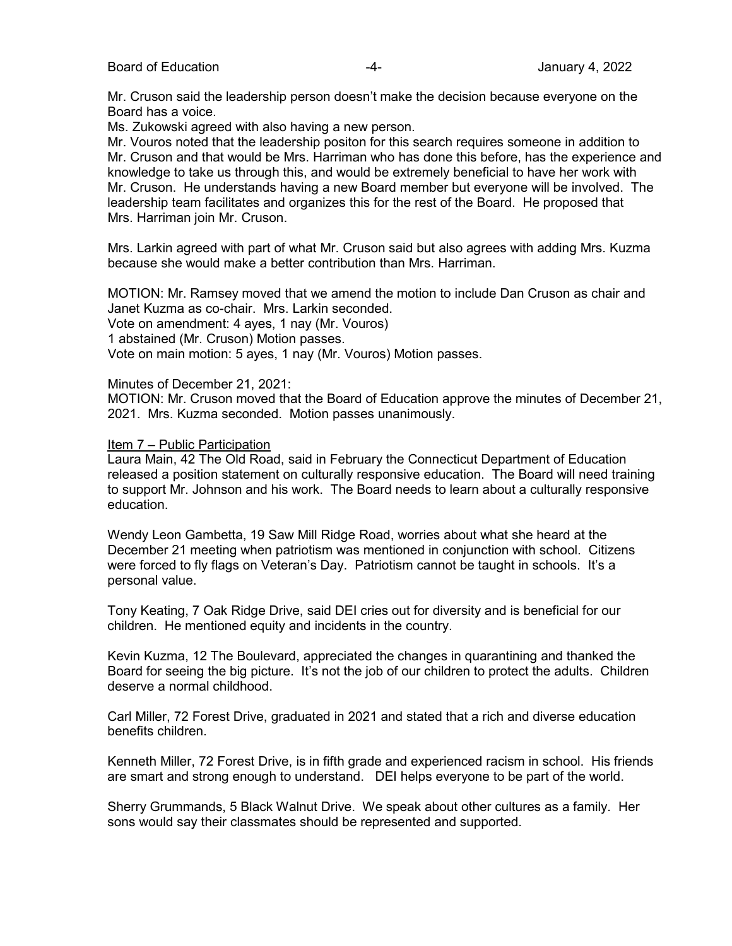Board of Education **-4-** Alternative Control of Education and Tanary 4, 2022

Mr. Cruson said the leadership person doesn't make the decision because everyone on the Board has a voice.

Ms. Zukowski agreed with also having a new person.

Mr. Vouros noted that the leadership positon for this search requires someone in addition to Mr. Cruson and that would be Mrs. Harriman who has done this before, has the experience and knowledge to take us through this, and would be extremely beneficial to have her work with Mr. Cruson. He understands having a new Board member but everyone will be involved. The leadership team facilitates and organizes this for the rest of the Board. He proposed that Mrs. Harriman join Mr. Cruson.

Mrs. Larkin agreed with part of what Mr. Cruson said but also agrees with adding Mrs. Kuzma because she would make a better contribution than Mrs. Harriman.

MOTION: Mr. Ramsey moved that we amend the motion to include Dan Cruson as chair and Janet Kuzma as co-chair. Mrs. Larkin seconded.

Vote on amendment: 4 ayes, 1 nay (Mr. Vouros)

1 abstained (Mr. Cruson) Motion passes.

Vote on main motion: 5 ayes, 1 nay (Mr. Vouros) Motion passes.

Minutes of December 21, 2021:

MOTION: Mr. Cruson moved that the Board of Education approve the minutes of December 21, 2021. Mrs. Kuzma seconded. Motion passes unanimously.

### Item 7 – Public Participation

Laura Main, 42 The Old Road, said in February the Connecticut Department of Education released a position statement on culturally responsive education. The Board will need training to support Mr. Johnson and his work. The Board needs to learn about a culturally responsive education.

Wendy Leon Gambetta, 19 Saw Mill Ridge Road, worries about what she heard at the December 21 meeting when patriotism was mentioned in conjunction with school. Citizens were forced to fly flags on Veteran's Day. Patriotism cannot be taught in schools. It's a personal value.

Tony Keating, 7 Oak Ridge Drive, said DEI cries out for diversity and is beneficial for our children. He mentioned equity and incidents in the country.

Kevin Kuzma, 12 The Boulevard, appreciated the changes in quarantining and thanked the Board for seeing the big picture. It's not the job of our children to protect the adults. Children deserve a normal childhood.

Carl Miller, 72 Forest Drive, graduated in 2021 and stated that a rich and diverse education benefits children.

Kenneth Miller, 72 Forest Drive, is in fifth grade and experienced racism in school. His friends are smart and strong enough to understand. DEI helps everyone to be part of the world.

Sherry Grummands, 5 Black Walnut Drive. We speak about other cultures as a family. Her sons would say their classmates should be represented and supported.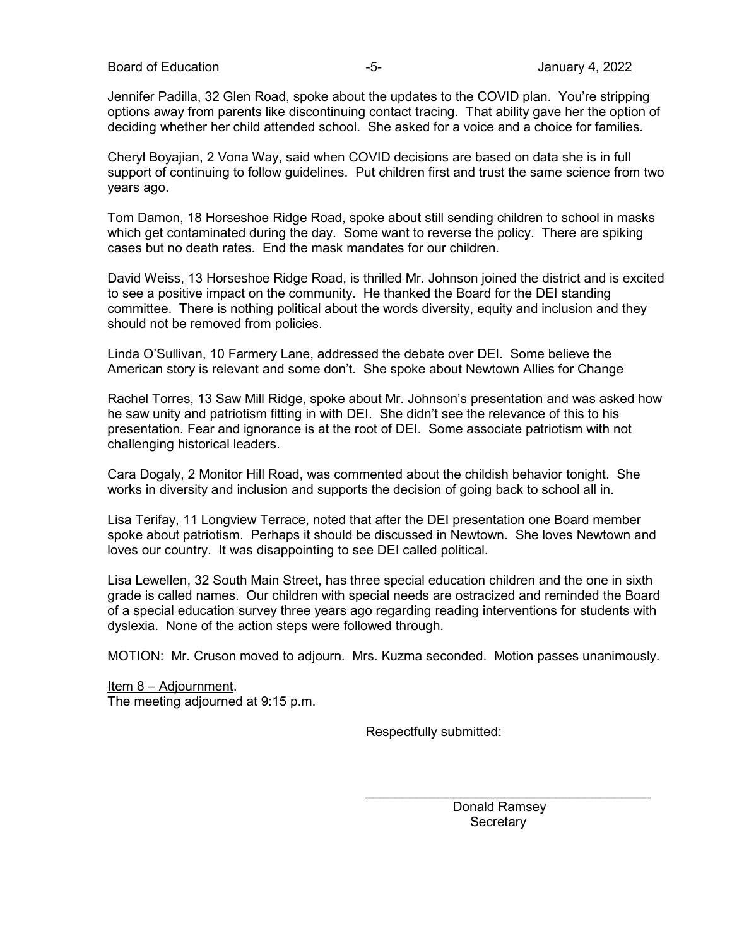Jennifer Padilla, 32 Glen Road, spoke about the updates to the COVID plan. You're stripping options away from parents like discontinuing contact tracing. That ability gave her the option of deciding whether her child attended school. She asked for a voice and a choice for families.

Cheryl Boyajian, 2 Vona Way, said when COVID decisions are based on data she is in full support of continuing to follow guidelines. Put children first and trust the same science from two years ago.

Tom Damon, 18 Horseshoe Ridge Road, spoke about still sending children to school in masks which get contaminated during the day. Some want to reverse the policy. There are spiking cases but no death rates. End the mask mandates for our children.

David Weiss, 13 Horseshoe Ridge Road, is thrilled Mr. Johnson joined the district and is excited to see a positive impact on the community. He thanked the Board for the DEI standing committee. There is nothing political about the words diversity, equity and inclusion and they should not be removed from policies.

Linda O'Sullivan, 10 Farmery Lane, addressed the debate over DEI. Some believe the American story is relevant and some don't. She spoke about Newtown Allies for Change

Rachel Torres, 13 Saw Mill Ridge, spoke about Mr. Johnson's presentation and was asked how he saw unity and patriotism fitting in with DEI. She didn't see the relevance of this to his presentation. Fear and ignorance is at the root of DEI. Some associate patriotism with not challenging historical leaders.

Cara Dogaly, 2 Monitor Hill Road, was commented about the childish behavior tonight. She works in diversity and inclusion and supports the decision of going back to school all in.

Lisa Terifay, 11 Longview Terrace, noted that after the DEI presentation one Board member spoke about patriotism. Perhaps it should be discussed in Newtown. She loves Newtown and loves our country. It was disappointing to see DEI called political.

Lisa Lewellen, 32 South Main Street, has three special education children and the one in sixth grade is called names. Our children with special needs are ostracized and reminded the Board of a special education survey three years ago regarding reading interventions for students with dyslexia. None of the action steps were followed through.

MOTION: Mr. Cruson moved to adjourn. Mrs. Kuzma seconded. Motion passes unanimously.

Item 8 – Adjournment. The meeting adjourned at 9:15 p.m.

Respectfully submitted:

 Donald Ramsey **Secretary** 

 $\frac{1}{2}$  , and the set of the set of the set of the set of the set of the set of the set of the set of the set of the set of the set of the set of the set of the set of the set of the set of the set of the set of the set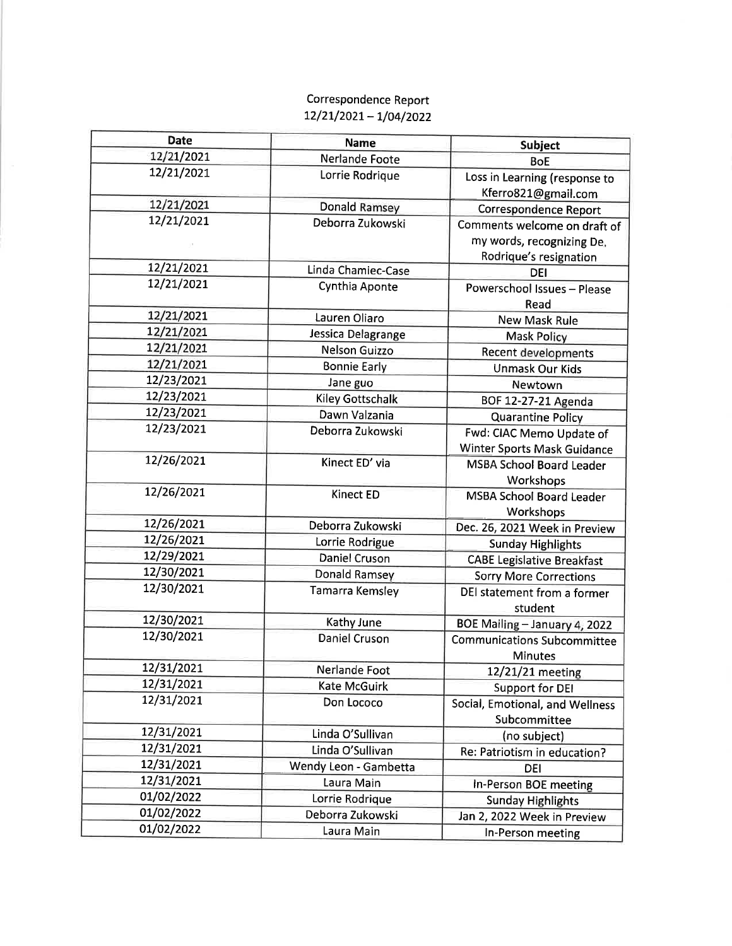## Correspondence Report  $12/21/2021 - 1/04/2022$

| <b>Date</b> | <b>Name</b>             | <b>Subject</b>                                       |
|-------------|-------------------------|------------------------------------------------------|
| 12/21/2021  | Nerlande Foote          | <b>BoE</b>                                           |
| 12/21/2021  | Lorrie Rodrique         | Loss in Learning (response to<br>Kferro821@gmail.com |
| 12/21/2021  | <b>Donald Ramsey</b>    | <b>Correspondence Report</b>                         |
| 12/21/2021  | Deborra Zukowski        | Comments welcome on draft of                         |
|             |                         | my words, recognizing De.                            |
|             |                         | Rodrique's resignation                               |
| 12/21/2021  | Linda Chamiec-Case      | DEI                                                  |
| 12/21/2021  | Cynthia Aponte          | Powerschool Issues - Please                          |
|             |                         | Read                                                 |
| 12/21/2021  | Lauren Oliaro           | New Mask Rule                                        |
| 12/21/2021  | Jessica Delagrange      | <b>Mask Policy</b>                                   |
| 12/21/2021  | <b>Nelson Guizzo</b>    | Recent developments                                  |
| 12/21/2021  | <b>Bonnie Early</b>     | <b>Unmask Our Kids</b>                               |
| 12/23/2021  | Jane guo                | Newtown                                              |
| 12/23/2021  | <b>Kiley Gottschalk</b> | BOF 12-27-21 Agenda                                  |
| 12/23/2021  | Dawn Valzania           | <b>Quarantine Policy</b>                             |
| 12/23/2021  | Deborra Zukowski        | Fwd: CIAC Memo Update of                             |
|             |                         | Winter Sports Mask Guidance                          |
| 12/26/2021  | Kinect ED' via          | <b>MSBA School Board Leader</b>                      |
|             |                         | Workshops                                            |
| 12/26/2021  | Kinect ED               | <b>MSBA School Board Leader</b>                      |
|             |                         | Workshops                                            |
| 12/26/2021  | Deborra Zukowski        | Dec. 26, 2021 Week in Preview                        |
| 12/26/2021  | Lorrie Rodrigue         | <b>Sunday Highlights</b>                             |
| 12/29/2021  | Daniel Cruson           | <b>CABE Legislative Breakfast</b>                    |
| 12/30/2021  | Donald Ramsey           | <b>Sorry More Corrections</b>                        |
| 12/30/2021  | Tamarra Kemsley         | DEI statement from a former                          |
| 12/30/2021  |                         | student                                              |
| 12/30/2021  | Kathy June              | BOE Mailing - January 4, 2022                        |
|             | <b>Daniel Cruson</b>    | <b>Communications Subcommittee</b>                   |
| 12/31/2021  |                         | <b>Minutes</b>                                       |
| 12/31/2021  | Nerlande Foot           | 12/21/21 meeting                                     |
| 12/31/2021  | Kate McGuirk            | <b>Support for DEI</b>                               |
|             | Don Lococo              | Social, Emotional, and Wellness                      |
| 12/31/2021  |                         | Subcommittee                                         |
| 12/31/2021  | Linda O'Sullivan        | (no subject)                                         |
| 12/31/2021  | Linda O'Sullivan        | Re: Patriotism in education?                         |
| 12/31/2021  | Wendy Leon - Gambetta   | DEI                                                  |
| 01/02/2022  | Laura Main              | In-Person BOE meeting                                |
| 01/02/2022  | Lorrie Rodrique         | <b>Sunday Highlights</b>                             |
| 01/02/2022  | Deborra Zukowski        | Jan 2, 2022 Week in Preview                          |
|             | Laura Main              | In-Person meeting                                    |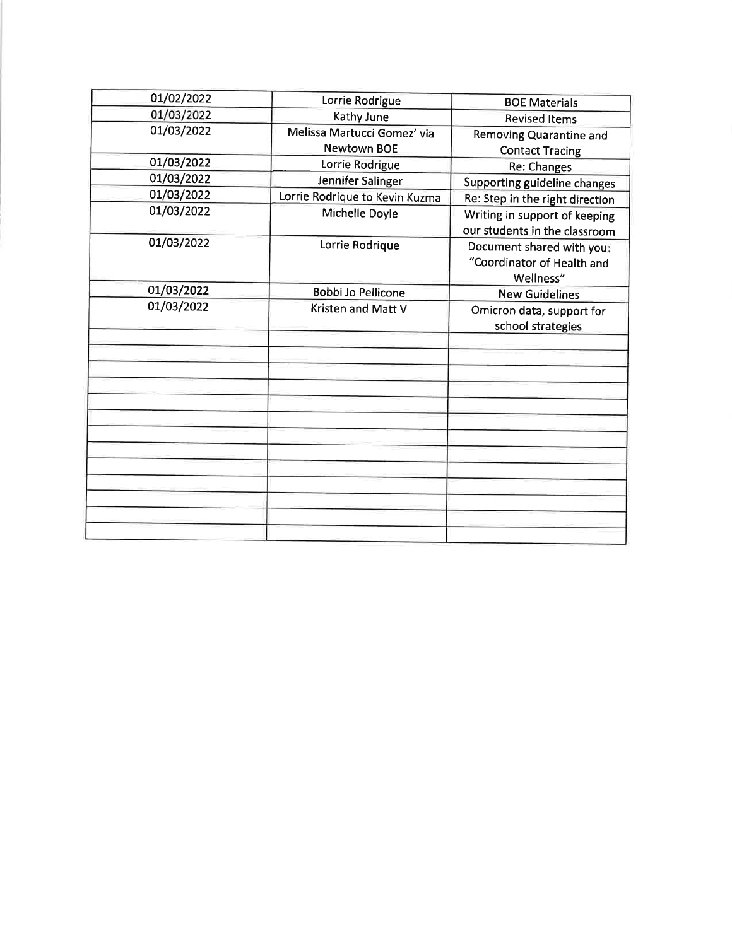| 01/02/2022 | Lorrie Rodrigue                | <b>BOE Materials</b>                                                 |
|------------|--------------------------------|----------------------------------------------------------------------|
| 01/03/2022 | Kathy June                     | <b>Revised Items</b>                                                 |
| 01/03/2022 | Melissa Martucci Gomez' via    | <b>Removing Quarantine and</b>                                       |
|            | <b>Newtown BOE</b>             | <b>Contact Tracing</b>                                               |
| 01/03/2022 | Lorrie Rodrigue                | Re: Changes                                                          |
| 01/03/2022 | Jennifer Salinger              | Supporting guideline changes                                         |
| 01/03/2022 | Lorrie Rodrique to Kevin Kuzma | Re: Step in the right direction                                      |
| 01/03/2022 | Michelle Doyle                 | Writing in support of keeping<br>our students in the classroom       |
| 01/03/2022 | Lorrie Rodrique                | Document shared with you:<br>"Coordinator of Health and<br>Wellness" |
| 01/03/2022 | Bobbi Jo Pellicone             | <b>New Guidelines</b>                                                |
| 01/03/2022 | Kristen and Matt V             | Omicron data, support for<br>school strategies                       |
|            |                                |                                                                      |
|            |                                |                                                                      |
|            |                                |                                                                      |
|            |                                |                                                                      |
|            |                                |                                                                      |
|            |                                |                                                                      |
|            |                                |                                                                      |
|            |                                |                                                                      |
|            |                                |                                                                      |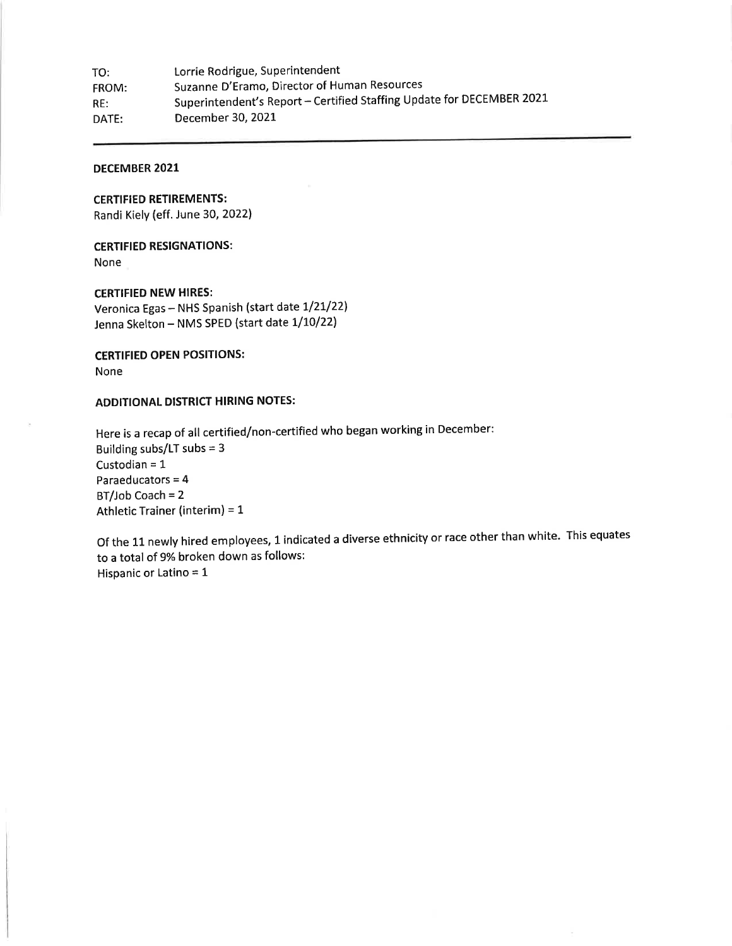Lorrie Rodrigue, Superintendent TO: Suzanne D'Eramo, Director of Human Resources FROM: Superintendent's Report - Certified Staffing Update for DECEMBER 2021  $RE:$ December 30, 2021 DATE:

### **DECEMBER 2021**

**CERTIFIED RETIREMENTS:** Randi Kiely (eff. June 30, 2022)

## **CERTIFIED RESIGNATIONS:**

None

**CERTIFIED NEW HIRES:** Veronica Egas - NHS Spanish (start date 1/21/22) Jenna Skelton - NMS SPED (start date 1/10/22)

### **CERTIFIED OPEN POSITIONS:**

None

### **ADDITIONAL DISTRICT HIRING NOTES:**

Here is a recap of all certified/non-certified who began working in December: Building subs/LT subs =  $3$ Custodian =  $1$ Paraeducators = 4  $BT/Job$  Coach = 2 Athletic Trainer (interim) = 1

Of the 11 newly hired employees, 1 indicated a diverse ethnicity or race other than white. This equates to a total of 9% broken down as follows: Hispanic or Latino =  $1$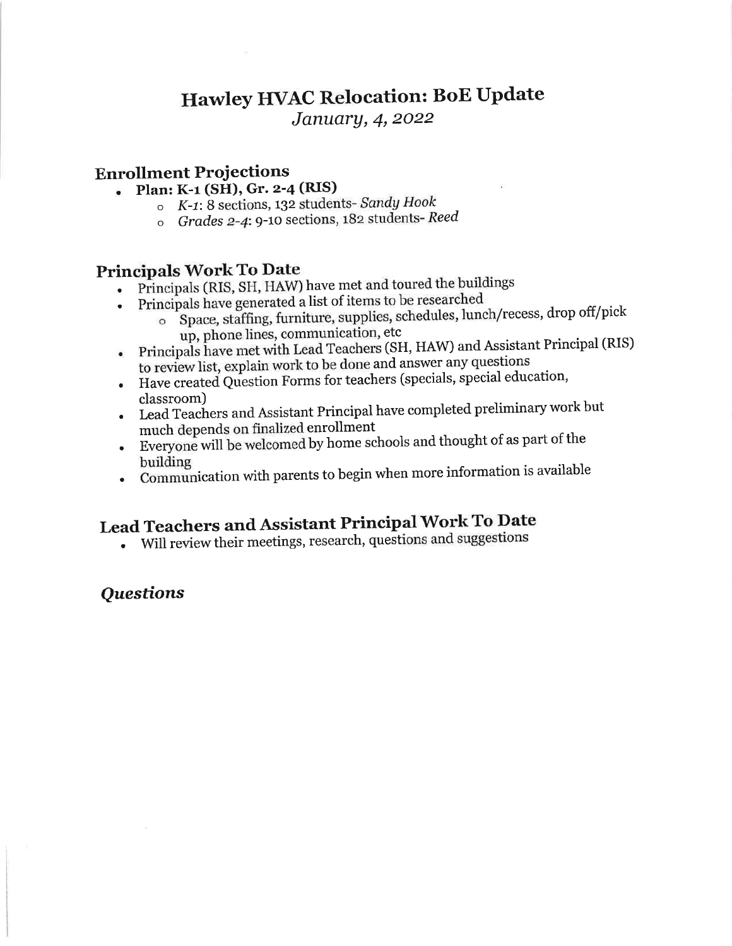## Hawley HVAC Relocation: BoE Update

January, 4, 2022

## **Enrollment Projections**

- · Plan: K-1 (SH), Gr. 2-4 (RIS)
	- o K-1: 8 sections, 132 students- Sandy Hook
	- o Grades 2-4: 9-10 sections, 182 students-Reed

## **Principals Work To Date**

- Principals (RIS, SH, HAW) have met and toured the buildings
- Principals have generated a list of items to be researched
	- o Space, staffing, furniture, supplies, schedules, lunch/recess, drop off/pick up, phone lines, communication, etc
	- Principals have met with Lead Teachers (SH, HAW) and Assistant Principal (RIS)
- to review list, explain work to be done and answer any questions
- Have created Question Forms for teachers (specials, special education, classroom)
- Lead Teachers and Assistant Principal have completed preliminary work but much depends on finalized enrollment
- Everyone will be welcomed by home schools and thought of as part of the building
- Communication with parents to begin when more information is available

# Lead Teachers and Assistant Principal Work To Date

• Will review their meetings, research, questions and suggestions

## **Ouestions**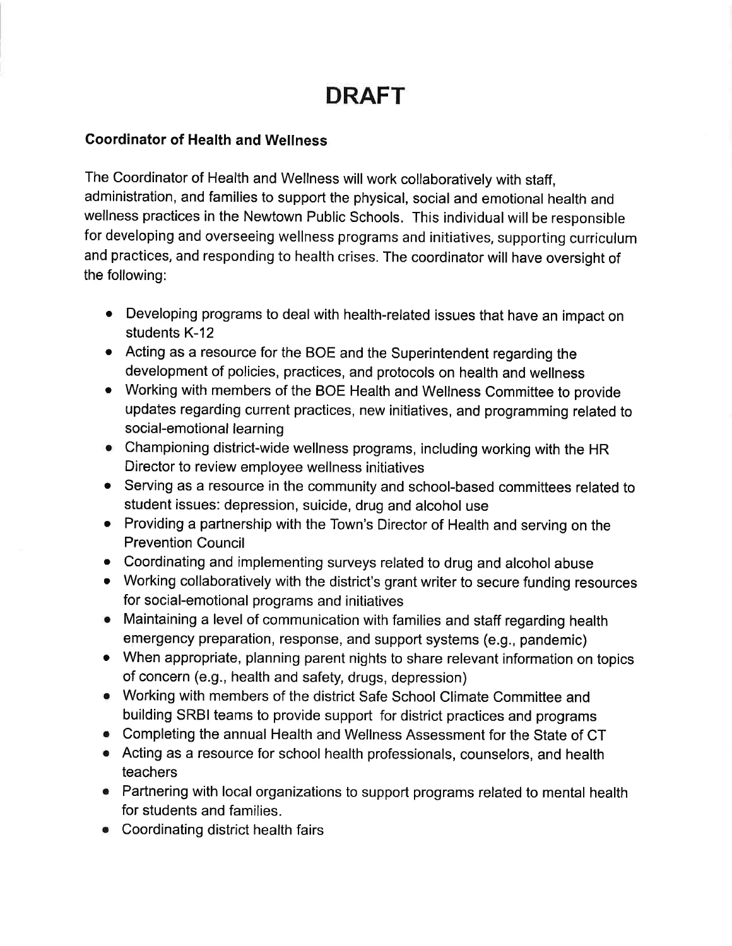# **DRAFT**

## **Coordinator of Health and Wellness**

The Coordinator of Health and Wellness will work collaboratively with staff, administration, and families to support the physical, social and emotional health and wellness practices in the Newtown Public Schools. This individual will be responsible for developing and overseeing wellness programs and initiatives, supporting curriculum and practices, and responding to health crises. The coordinator will have oversight of the following:

- Developing programs to deal with health-related issues that have an impact on students K-12
- Acting as a resource for the BOE and the Superintendent regarding the development of policies, practices, and protocols on health and wellness
- Working with members of the BOE Health and Wellness Committee to provide updates regarding current practices, new initiatives, and programming related to social-emotional learning
- Championing district-wide wellness programs, including working with the HR Director to review employee wellness initiatives
- Serving as a resource in the community and school-based committees related to student issues: depression, suicide, drug and alcohol use
- Providing a partnership with the Town's Director of Health and serving on the **Prevention Council**
- Coordinating and implementing surveys related to drug and alcohol abuse
- Working collaboratively with the district's grant writer to secure funding resources for social-emotional programs and initiatives
- Maintaining a level of communication with families and staff regarding health emergency preparation, response, and support systems (e.g., pandemic)
- When appropriate, planning parent nights to share relevant information on topics of concern (e.g., health and safety, drugs, depression)
- Working with members of the district Safe School Climate Committee and building SRBI teams to provide support for district practices and programs
- Completing the annual Health and Wellness Assessment for the State of CT
- Acting as a resource for school health professionals, counselors, and health teachers
- Partnering with local organizations to support programs related to mental health for students and families.
- Coordinating district health fairs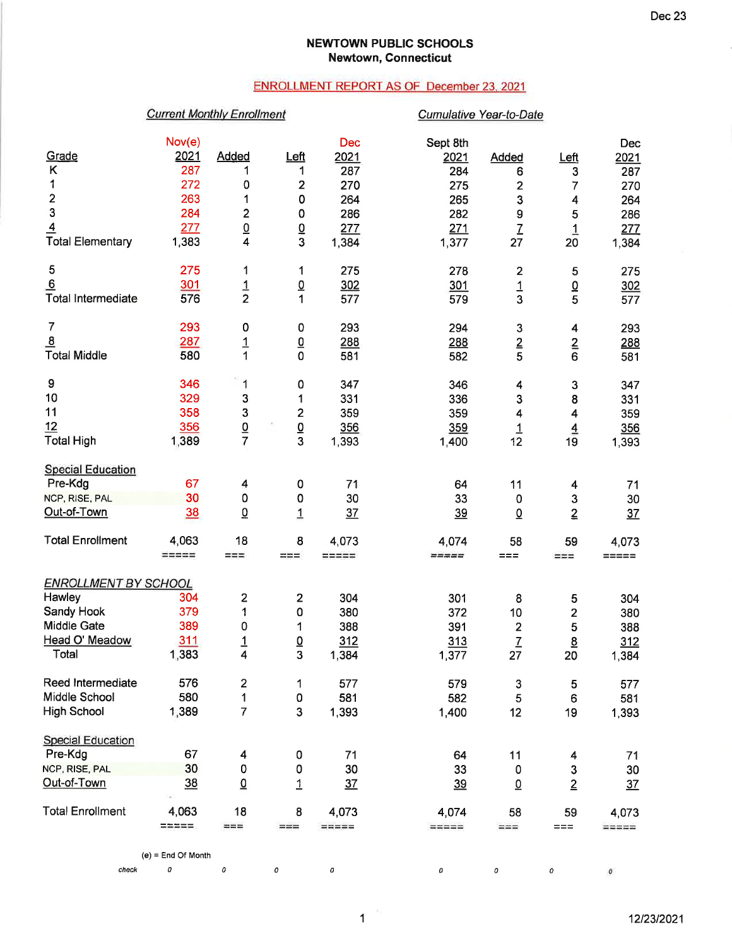### **NEWTOWN PUBLIC SCHOOLS Newtown, Connecticut**

### **ENROLLMENT REPORT AS OF December 23, 2021**

## **Current Monthly Enrollment**

### Cumulative Year-to-Date

|                             | Nov(e)                  |                 |                         | <b>Dec</b>      | Sept 8th                |                           |                         | Dec                 |
|-----------------------------|-------------------------|-----------------|-------------------------|-----------------|-------------------------|---------------------------|-------------------------|---------------------|
| Grade                       | 2021                    | <b>Added</b>    | Left                    | 2021            | 2021                    | Added                     | Left                    | 2021                |
| Κ                           | 287                     | 1               | 1                       | 287             | 284                     | 6                         | 3                       | 287                 |
| 1                           | 272                     | 0               | 2                       | 270             | 275                     | $\overline{\mathbf{2}}$   | 7                       | 270                 |
| $\overline{\mathbf{c}}$     | 263                     | 1               | 0                       | 264             | 265                     | 3                         | 4                       | 264                 |
| 3                           | 284                     | $\overline{c}$  | 0                       | 286             | 282                     | $\boldsymbol{9}$          | 5                       | 286                 |
| $\overline{4}$              | 277                     | $\frac{0}{4}$   | $\overline{0}$          | 277             | 271                     | $\overline{L}$            | $\overline{1}$          | 277                 |
| <b>Total Elementary</b>     | 1,383                   |                 | $\overline{3}$          | 1,384           | 1,377                   | 27                        | 20                      | 1,384               |
|                             |                         |                 |                         |                 |                         |                           |                         |                     |
| 5                           | 275                     | 1               | 1                       | 275             | 278                     | 2                         | 5                       | 275                 |
| 6                           | <u>301</u>              | $\frac{1}{2}$   | $\underline{0}$         | 302             | 301                     | $\frac{1}{3}$             | $\frac{0}{5}$           | 302                 |
| <b>Total Intermediate</b>   | 576                     |                 | 1                       | 577             | 579                     |                           |                         | 577                 |
| 7                           | 293                     | 0               | 0                       | 293             | 294                     | $\ensuremath{\mathsf{3}}$ | $\overline{\mathbf{4}}$ | 293                 |
| $\overline{8}$              | 287                     |                 | $\underline{0}$         | 288             | 288                     | $\overline{2}$            |                         | 288                 |
| <b>Total Middle</b>         | 580                     | $\frac{1}{1}$   | $\mathbf 0$             | 581             | 582                     | 5                         | $\frac{2}{6}$           | 581                 |
|                             |                         |                 |                         |                 |                         |                           |                         |                     |
| 9                           | 346                     | 1               | 0                       | 347             | 346                     | 4                         | 3                       | 347                 |
| 10                          | 329                     | 3               | 1                       | 331             | 336                     | $\mathbf{3}$              | 8                       | 331                 |
| 11                          | 358                     | 3               | $\mathbf{2}$            | 359             | 359                     | 4                         | 4                       | 359                 |
| 12                          | 356                     | $\frac{0}{7}$   | $\overline{\mathsf{O}}$ | 356             | 359                     | $\overline{1}$            | $\overline{4}$          | 356                 |
| <b>Total High</b>           | 1,389                   |                 | 3                       | 1,393           | 1,400                   | 12                        | 19                      | 1,393               |
|                             |                         |                 |                         |                 |                         |                           |                         |                     |
| <b>Special Education</b>    |                         |                 |                         |                 |                         |                           |                         |                     |
| Pre-Kdg                     | 67                      | 4               | 0                       | 71              | 64                      | 11                        | 4                       | 71                  |
| NCP, RISE, PAL              | 30                      | 0               | 0                       | 30              | 33                      | 0                         | $\mathsf 3$             | 30                  |
| Out-of-Town                 | 38                      | $\Omega$        | $\overline{1}$          | 37              | 39                      | $\overline{0}$            | $\overline{2}$          | 37                  |
| <b>Total Enrollment</b>     | 4,063                   | 18              | 8                       | 4,073           | 4,074                   | 58                        | 59                      | 4,073               |
|                             | $=$ $=$ $=$ $=$ $=$ $=$ | $=$ $=$ $=$     | $==$                    | $m = m = m$     | $=$ $=$ $=$ $=$ $=$     | $==$                      | $==$                    | =====               |
|                             |                         |                 |                         |                 |                         |                           |                         |                     |
| <b>ENROLLMENT BY SCHOOL</b> |                         |                 |                         |                 |                         |                           |                         |                     |
| Hawley                      | 304                     | 2               | 2                       | 304             | 301                     | 8                         | 5                       | 304                 |
| Sandy Hook                  | 379                     | 1               | 0                       | 380             | 372                     | 10                        | 2                       | 380                 |
| <b>Middle Gate</b>          | 389                     | 0               | 1                       | 388             | 391                     | $\overline{\mathbf{c}}$   | 5                       | 388                 |
| Head O' Meadow              | 311                     | $\overline{1}$  | $\overline{0}$          | 312             | 313                     | $\overline{1}$            | $\underline{8}$         | 312                 |
| Total                       | 1,383                   | 4               | 3                       | 1,384           | 1,377                   | 27                        | 20                      | 1,384               |
|                             |                         |                 |                         |                 |                         |                           |                         |                     |
| Reed Intermediate           | 576                     | $\mathbf{2}$    | 1                       | 577             | 579                     | 3                         | 5                       | 577                 |
| Middle School               | 580                     | 1               | 0                       | 581             | 582                     | 5                         | 6                       | 581                 |
| <b>High School</b>          | 1,389                   | $\overline{7}$  | 3                       | 1,393           | 1,400                   | 12                        | 19                      | 1,393               |
| <b>Special Education</b>    |                         |                 |                         |                 |                         |                           |                         |                     |
| Pre-Kdg                     | 67                      | 4               | 0                       | 71              |                         |                           |                         |                     |
| NCP, RISE, PAL              | 30                      | 0               |                         | 30              | 64                      | 11                        | 4                       | 71                  |
|                             |                         |                 | 0                       |                 | 33                      | 0                         | 3                       | 30                  |
| Out-of-Town                 | 38                      | $\underline{0}$ | $\overline{1}$          | 37              | <u>39</u>               | $\underline{0}$           | $\overline{2}$          | 37                  |
| <b>Total Enrollment</b>     | 4,063                   | 18              | 8                       | 4,073           | 4,074                   | 58                        | 59                      | 4,073               |
|                             | 三等三等三                   | $==$            | $==$                    | $=$ $=$ $=$ $=$ | $=$ $=$ $=$ $=$ $=$ $=$ | $==$                      | $==$                    | $=$ $=$ $=$ $=$ $=$ |
|                             |                         |                 |                         |                 |                         |                           |                         |                     |
|                             | $(e)$ = End Of Month    |                 |                         |                 |                         |                           |                         |                     |

 $\mathbf 1$ 

12/23/2021

 $\pmb{o}$ 

 $\overline{0}$   $\overline{0}$   $\overline{0}$   $\overline{0}$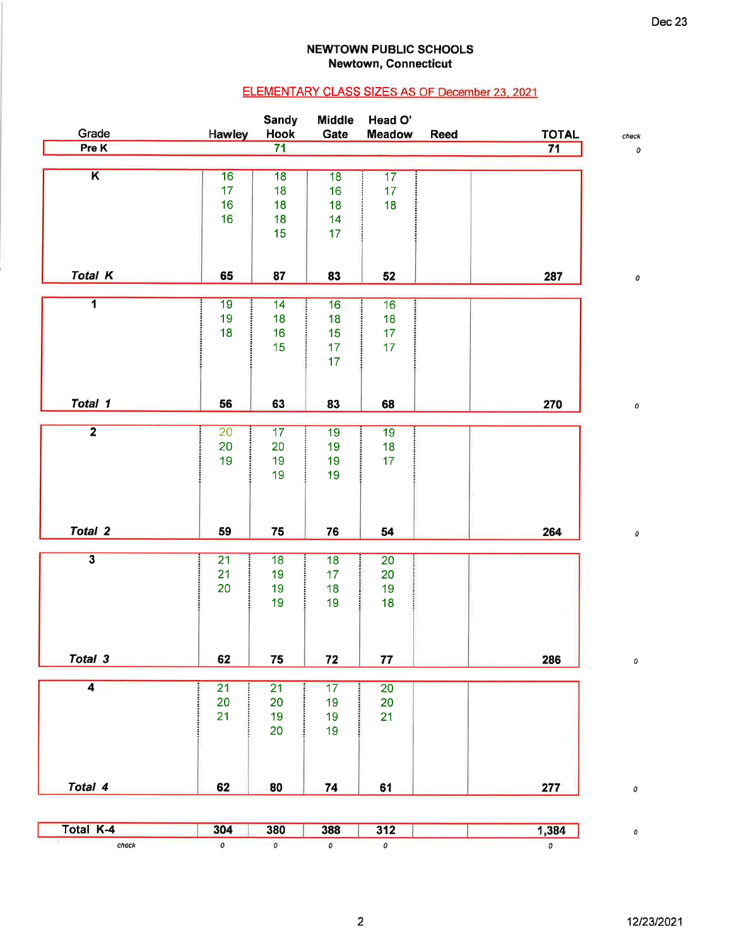### **NEWTOWN PUBLIC SCHOOLS Newtown, Connecticut**

## ELEMENTARY CLASS SIZES AS OF December 23, 2021

| Grade                   |                 | <b>Sandy</b><br><b>Hook</b> | <b>Middle</b><br>Gate | Head O'<br><b>Meadow</b> |      |                    |
|-------------------------|-----------------|-----------------------------|-----------------------|--------------------------|------|--------------------|
| Pre K                   | <b>Hawley</b>   | $\overline{71}$             |                       |                          | Reed | <b>TOTAL</b><br>71 |
|                         |                 |                             |                       |                          |      |                    |
| $\overline{\mathbf{K}}$ | 16              | 18                          | 18                    | 17                       |      |                    |
|                         | 17 <sub>2</sub> | 18                          | 16                    | 17 <sub>2</sub>          |      |                    |
|                         | 16              | 18                          | 18                    | 18                       |      |                    |
|                         | 16              | 18                          | 14                    |                          |      |                    |
|                         |                 | 15                          | 17                    |                          |      |                    |
|                         |                 |                             |                       |                          |      |                    |
| <b>Total K</b>          | 65              | 87                          | 83                    | 52                       |      | 287                |
|                         |                 |                             |                       |                          |      |                    |
| $\overline{\mathbf{1}}$ | 19              | $\overline{14}$             | 16                    | 16                       |      |                    |
|                         | 19              | 18                          | 18                    | <br>18                   |      |                    |
|                         | 18              | 16                          | 15                    | 17                       |      |                    |
|                         |                 | 15                          | 17                    | 17                       |      |                    |
|                         |                 |                             | 17                    |                          |      |                    |
|                         |                 |                             |                       |                          |      |                    |
| Total 1                 | 56              | 63                          | 83                    | 68                       |      | 270                |
|                         |                 |                             |                       |                          |      |                    |
| $\overline{2}$          | 20              | 17                          | 19                    | 19                       |      |                    |
|                         | 20              | 20                          | 19                    | 18                       |      |                    |
|                         | 19              | 19                          | 19                    | 17                       |      |                    |
|                         |                 | 19                          | 19                    |                          |      |                    |
|                         |                 |                             |                       |                          |      |                    |
| Total 2                 | 59              | 75                          | 76                    | 54                       |      | 264                |
|                         |                 |                             |                       |                          |      |                    |
| $\overline{\mathbf{3}}$ | $\overline{21}$ | 18                          | 18                    | 20                       |      |                    |
|                         | 21              | 19                          | 17                    | 20                       |      |                    |
|                         | 20              | 19                          | 18                    | 19                       |      |                    |
|                         |                 | 19                          | 19                    | 18                       |      |                    |
|                         |                 |                             |                       |                          |      |                    |
| Total 3                 |                 |                             |                       |                          |      |                    |
|                         | 62              | 75                          | 72                    | 77                       |      | 286                |
| $\overline{4}$          | 21              | $\overline{21}$             | 17                    | 20 <sub>2</sub>          |      |                    |
|                         | 20              | 20                          | 19                    | 20                       |      |                    |
|                         | 21              | 19                          | 19                    | 21                       |      |                    |
|                         |                 | 20                          | 19                    |                          |      |                    |
|                         |                 |                             |                       |                          |      |                    |
| Total 4                 | 62              | 80                          |                       |                          |      |                    |
|                         |                 |                             | 74                    | <b>61</b>                |      | 277                |
|                         |                 |                             |                       |                          |      |                    |
| Total K-4               | 304             | 380                         | 388                   | 312                      |      | 1,384              |
| check                   | $\sigma$        | $\overline{O}$              | $\overline{0}$        | $\mathbf{O}$             |      | $\overline{0}$     |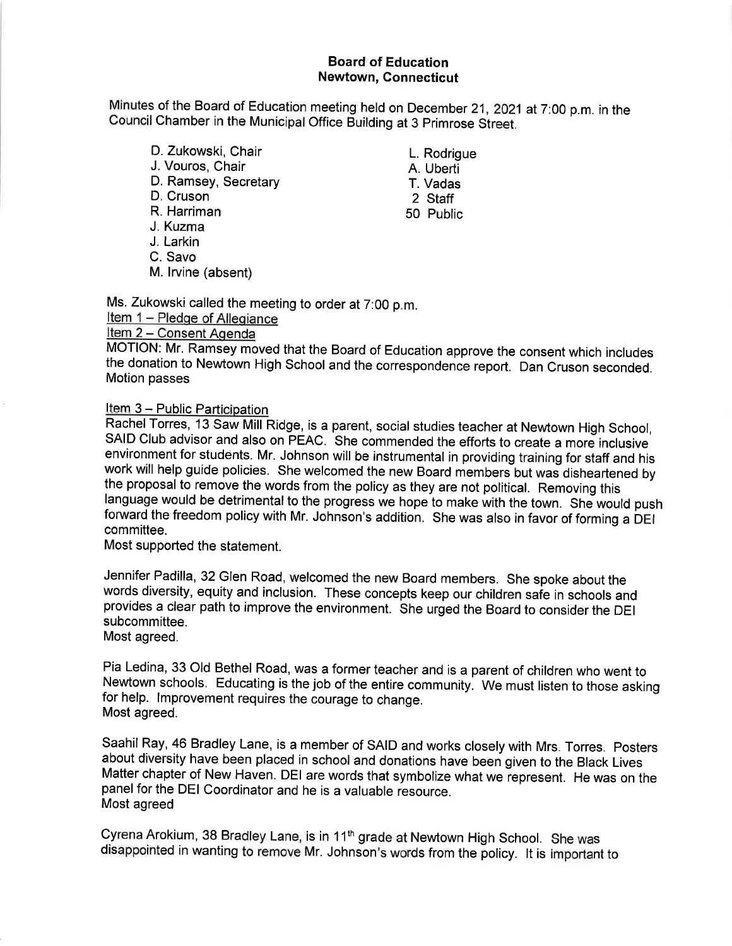### **Board of Education Newtown, Connecticut**

Minutes of the Board of Education meeting held on December 21, 2021 at 7:00 p.m. in the Council Chamber in the Municipal Office Building at 3 Primrose Street.

- D. Zukowski, Chair J. Vouros, Chair D. Ramsey, Secretary D. Cruson R. Harriman J. Kuzma J. Larkin
- C. Savo
- M. Irvine (absent)

Ms. Zukowski called the meeting to order at 7:00 p.m.

Item 1 - Pledge of Allegiance

## Item 2 - Consent Agenda

MOTION: Mr. Ramsey moved that the Board of Education approve the consent which includes the donation to Newtown High School and the correspondence report. Dan Cruson seconded. Motion passes

### Item 3 - Public Participation.

Rachel Torres, 13 Saw Mill Ridge, is a parent, social studies teacher at Newtown High School, SAID Club advisor and also on PEAC. She commended the efforts to create a more inclusive environment for students. Mr. Johnson will be instrumental in providing training for staff and his work will help guide policies. She welcomed the new Board members but was disheartened by the proposal to remove the words from the policy as they are not political. Removing this language would be detrimental to the progress we hope to make with the town. She would push forward the freedom policy with Mr. Johnson's addition. She was also in favor of forming a DEI committee.

Most supported the statement.

Jennifer Padilla, 32 Glen Road, welcomed the new Board members. She spoke about the words diversity, equity and inclusion. These concepts keep our children safe in schools and provides a clear path to improve the environment. She urged the Board to consider the DEI subcommittee.

Most agreed.

Pia Ledina, 33 Old Bethel Road, was a former teacher and is a parent of children who went to Newtown schools. Educating is the job of the entire community. We must listen to those asking for help. Improvement requires the courage to change. Most agreed.

Saahil Ray, 46 Bradley Lane, is a member of SAID and works closely with Mrs. Torres. Posters about diversity have been placed in school and donations have been given to the Black Lives Matter chapter of New Haven. DEI are words that symbolize what we represent. He was on the panel for the DEI Coordinator and he is a valuable resource. Most agreed

Cyrena Arokium, 38 Bradley Lane, is in 11<sup>th</sup> grade at Newtown High School. She was disappointed in wanting to remove Mr. Johnson's words from the policy. It is important to

- L. Rodriaue
- A. Uberti T. Vadas
- 2 Staff
- 50 Public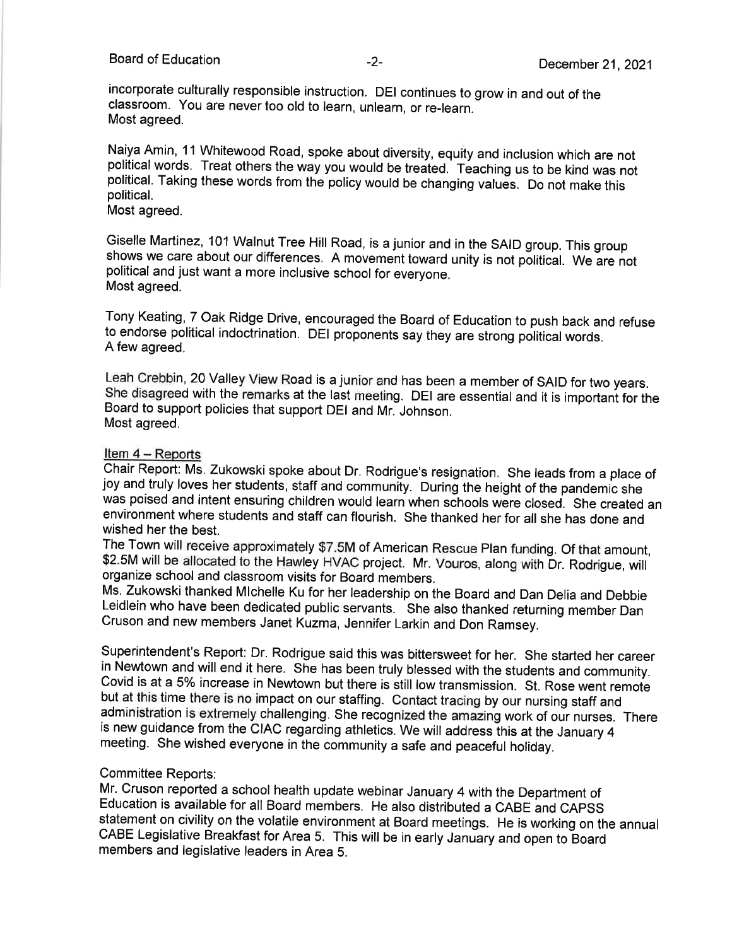### Board of Education

incorporate culturally responsible instruction. DEI continues to grow in and out of the classroom. You are never too old to learn, unlearn, or re-learn. Most agreed.

Naiya Amin, 11 Whitewood Road, spoke about diversity, equity and inclusion which are not political words. Treat others the way you would be treated. Teaching us to be kind was not political. Taking these words from the policy would be changing values. Do not make this political.

Most agreed.

Giselle Martinez, 101 Walnut Tree Hill Road, is a junior and in the SAID group. This group shows we care about our differences. A movement toward unity is not political. We are not political and just want a more inclusive school for everyone. Most agreed.

Tony Keating, 7 Oak Ridge Drive, encouraged the Board of Education to push back and refuse to endorse political indoctrination. DEI proponents say they are strong political words. A few agreed.

Leah Crebbin, 20 Valley View Road is a junior and has been a member of SAID for two years. She disagreed with the remarks at the last meeting. DEI are essential and it is important for the Board to support policies that support DEI and Mr. Johnson. Most agreed.

### Item 4 - Reports

Chair Report: Ms. Zukowski spoke about Dr. Rodrigue's resignation. She leads from a place of joy and truly loves her students, staff and community. During the height of the pandemic she was poised and intent ensuring children would learn when schools were closed. She created an environment where students and staff can flourish. She thanked her for all she has done and wished her the best.

The Town will receive approximately \$7.5M of American Rescue Plan funding. Of that amount, \$2.5M will be allocated to the Hawley HVAC project. Mr. Vouros, along with Dr. Rodrigue, will organize school and classroom visits for Board members.

Ms. Zukowski thanked MIchelle Ku for her leadership on the Board and Dan Delia and Debbie Leidlein who have been dedicated public servants. She also thanked returning member Dan Cruson and new members Janet Kuzma, Jennifer Larkin and Don Ramsey.

Superintendent's Report: Dr. Rodrigue said this was bittersweet for her. She started her career in Newtown and will end it here. She has been truly blessed with the students and community. Covid is at a 5% increase in Newtown but there is still low transmission. St. Rose went remote but at this time there is no impact on our staffing. Contact tracing by our nursing staff and administration is extremely challenging. She recognized the amazing work of our nurses. There is new guidance from the CIAC regarding athletics. We will address this at the January 4 meeting. She wished everyone in the community a safe and peaceful holiday.

### Committee Reports:

Mr. Cruson reported a school health update webinar January 4 with the Department of Education is available for all Board members. He also distributed a CABE and CAPSS statement on civility on the volatile environment at Board meetings. He is working on the annual CABE Legislative Breakfast for Area 5. This will be in early January and open to Board members and legislative leaders in Area 5.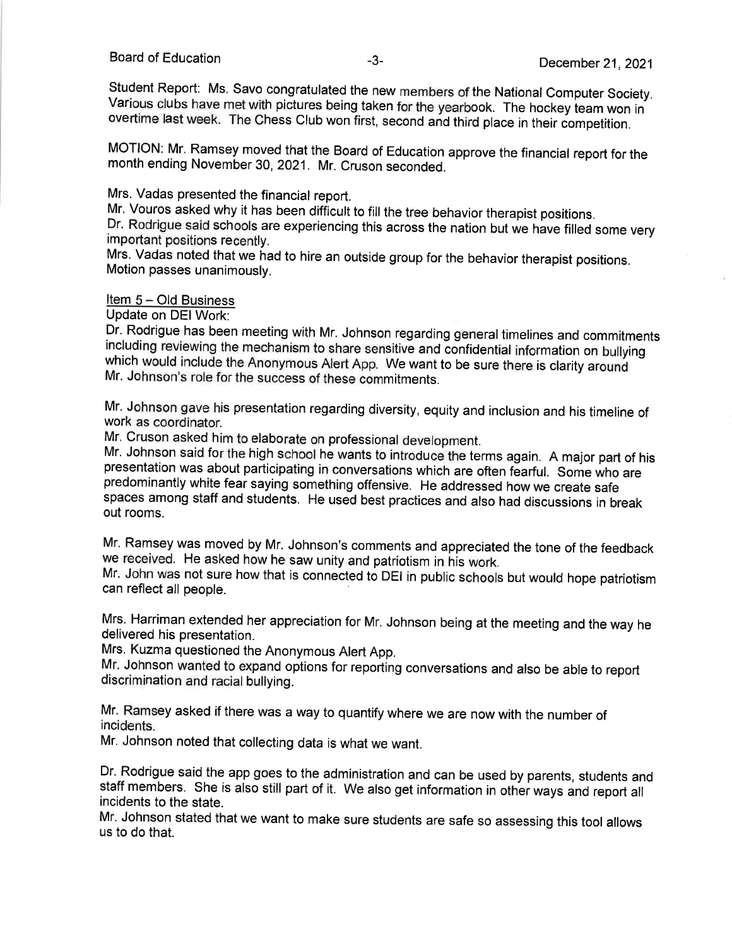Student Report: Ms. Savo congratulated the new members of the National Computer Society. Various clubs have met with pictures being taken for the yearbook. The hockey team won in overtime last week. The Chess Club won first, second and third place in their competition.

MOTION: Mr. Ramsey moved that the Board of Education approve the financial report for the month ending November 30, 2021. Mr. Cruson seconded.

Mrs. Vadas presented the financial report.

Mr. Vouros asked why it has been difficult to fill the tree behavior therapist positions. Dr. Rodrigue said schools are experiencing this across the nation but we have filled some very important positions recently.

Mrs. Vadas noted that we had to hire an outside group for the behavior therapist positions. Motion passes unanimously.

### Item 5 – Old Business

Update on DEI Work:

Dr. Rodrigue has been meeting with Mr. Johnson regarding general timelines and commitments including reviewing the mechanism to share sensitive and confidential information on bullying which would include the Anonymous Alert App. We want to be sure there is clarity around Mr. Johnson's role for the success of these commitments.

Mr. Johnson gave his presentation regarding diversity, equity and inclusion and his timeline of work as coordinator.

Mr. Cruson asked him to elaborate on professional development.

Mr. Johnson said for the high school he wants to introduce the terms again. A major part of his presentation was about participating in conversations which are often fearful. Some who are predominantly white fear saying something offensive. He addressed how we create safe spaces among staff and students. He used best practices and also had discussions in break out rooms.

Mr. Ramsey was moved by Mr. Johnson's comments and appreciated the tone of the feedback we received. He asked how he saw unity and patriotism in his work.

Mr. John was not sure how that is connected to DEI in public schools but would hope patriotism can reflect all people.

Mrs. Harriman extended her appreciation for Mr. Johnson being at the meeting and the way he delivered his presentation.

Mrs. Kuzma questioned the Anonymous Alert App.

Mr. Johnson wanted to expand options for reporting conversations and also be able to report discrimination and racial bullying.

Mr. Ramsey asked if there was a way to quantify where we are now with the number of incidents.

Mr. Johnson noted that collecting data is what we want.

Dr. Rodrigue said the app goes to the administration and can be used by parents, students and staff members. She is also still part of it. We also get information in other ways and report all incidents to the state.

Mr. Johnson stated that we want to make sure students are safe so assessing this tool allows us to do that.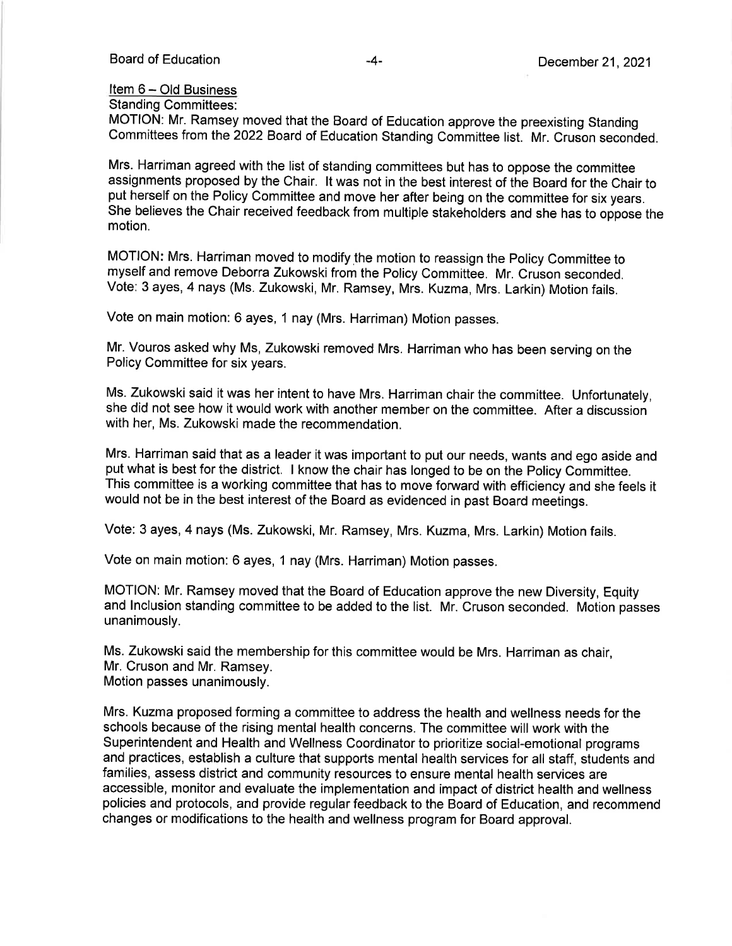### Item 6 - Old Business

**Standing Committees:** 

MOTION: Mr. Ramsey moved that the Board of Education approve the preexisting Standing Committees from the 2022 Board of Education Standing Committee list. Mr. Cruson seconded.

Mrs. Harriman agreed with the list of standing committees but has to oppose the committee assignments proposed by the Chair. It was not in the best interest of the Board for the Chair to put herself on the Policy Committee and move her after being on the committee for six years. She believes the Chair received feedback from multiple stakeholders and she has to oppose the motion.

MOTION: Mrs. Harriman moved to modify the motion to reassign the Policy Committee to myself and remove Deborra Zukowski from the Policy Committee. Mr. Cruson seconded. Vote: 3 ayes, 4 nays (Ms. Zukowski, Mr. Ramsey, Mrs. Kuzma, Mrs. Larkin) Motion fails.

Vote on main motion: 6 ayes, 1 nay (Mrs. Harriman) Motion passes.

Mr. Vouros asked why Ms, Zukowski removed Mrs. Harriman who has been serving on the Policy Committee for six years.

Ms. Zukowski said it was her intent to have Mrs. Harriman chair the committee. Unfortunately, she did not see how it would work with another member on the committee. After a discussion with her, Ms. Zukowski made the recommendation.

Mrs. Harriman said that as a leader it was important to put our needs, wants and ego aside and put what is best for the district. I know the chair has longed to be on the Policy Committee. This committee is a working committee that has to move forward with efficiency and she feels it would not be in the best interest of the Board as evidenced in past Board meetings.

Vote: 3 ayes, 4 nays (Ms. Zukowski, Mr. Ramsey, Mrs. Kuzma, Mrs. Larkin) Motion fails.

Vote on main motion: 6 ayes, 1 nay (Mrs. Harriman) Motion passes.

MOTION: Mr. Ramsey moved that the Board of Education approve the new Diversity, Equity and Inclusion standing committee to be added to the list. Mr. Cruson seconded. Motion passes unanimously.

Ms. Zukowski said the membership for this committee would be Mrs. Harriman as chair. Mr. Cruson and Mr. Ramsey. Motion passes unanimously.

Mrs. Kuzma proposed forming a committee to address the health and wellness needs for the schools because of the rising mental health concerns. The committee will work with the Superintendent and Health and Wellness Coordinator to prioritize social-emotional programs and practices, establish a culture that supports mental health services for all staff, students and families, assess district and community resources to ensure mental health services are accessible, monitor and evaluate the implementation and impact of district health and wellness policies and protocols, and provide regular feedback to the Board of Education, and recommend changes or modifications to the health and wellness program for Board approval.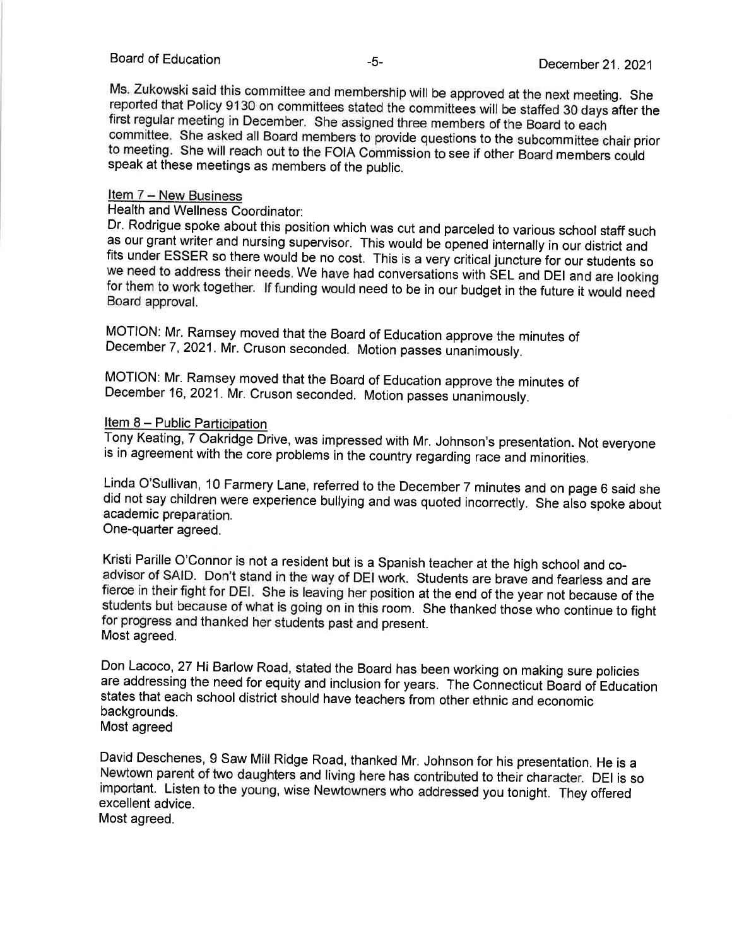Ms. Zukowski said this committee and membership will be approved at the next meeting. She reported that Policy 9130 on committees stated the committees will be staffed 30 days after the first regular meeting in December. She assigned three members of the Board to each committee. She asked all Board members to provide questions to the subcommittee chair prior to meeting. She will reach out to the FOIA Commission to see if other Board members could speak at these meetings as members of the public.

### Item 7 - New Business

Health and Wellness Coordinator:

Dr. Rodrigue spoke about this position which was cut and parceled to various school staff such as our grant writer and nursing supervisor. This would be opened internally in our district and fits under ESSER so there would be no cost. This is a very critical juncture for our students so we need to address their needs. We have had conversations with SEL and DEI and are looking for them to work together. If funding would need to be in our budget in the future it would need Board approval.

MOTION: Mr. Ramsey moved that the Board of Education approve the minutes of December 7, 2021. Mr. Cruson seconded. Motion passes unanimously.

MOTION: Mr. Ramsey moved that the Board of Education approve the minutes of December 16, 2021. Mr. Cruson seconded. Motion passes unanimously.

### Item 8 - Public Participation

Tony Keating, 7 Oakridge Drive, was impressed with Mr. Johnson's presentation. Not everyone is in agreement with the core problems in the country regarding race and minorities.

Linda O'Sullivan, 10 Farmery Lane, referred to the December 7 minutes and on page 6 said she did not say children were experience bullying and was quoted incorrectly. She also spoke about academic preparation.

One-quarter agreed.

Kristi Parille O'Connor is not a resident but is a Spanish teacher at the high school and coadvisor of SAID. Don't stand in the way of DEI work. Students are brave and fearless and are fierce in their fight for DEI. She is leaving her position at the end of the year not because of the students but because of what is going on in this room. She thanked those who continue to fight for progress and thanked her students past and present. Most agreed.

Don Lacoco, 27 Hi Barlow Road, stated the Board has been working on making sure policies are addressing the need for equity and inclusion for years. The Connecticut Board of Education states that each school district should have teachers from other ethnic and economic backgrounds. Most agreed

David Deschenes, 9 Saw Mill Ridge Road, thanked Mr. Johnson for his presentation. He is a Newtown parent of two daughters and living here has contributed to their character. DEI is so important. Listen to the young, wise Newtowners who addressed you tonight. They offered excellent advice.

Most agreed.